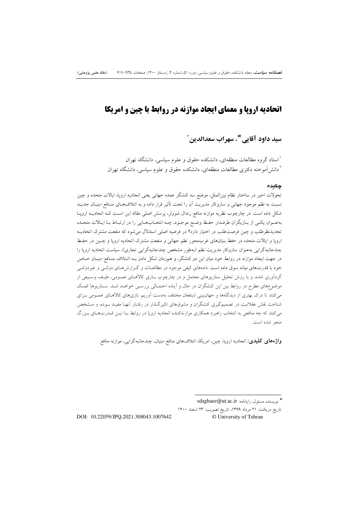# **اتحادیه اروپا و معمای ایجاد موازنه در روابط با چین و امریکا**

سيد داود آقايي'ٌ، سهراب سعدالدينِ `

<sup>י</sup> استاد گروه مطالعات منطقهای، دانشکده حقوق و علوم سیاسی، دانشگاه تهران <sup>۲</sup> دانش آموخته دکتری مطالعات منطقهای، دانشکده حقوق و علوم سیاسی، دانشگاه ت<u>هر</u>ان

### چکىدە

تحولات اخیر در ساختار نظام بین|لملل، موضع سه کنشگر عمده جهانی یعنی اتحادیه اروپا، ایالات متحده و چین نسبت به نظم موجود جهانی و سازوکار مدیریت اَن را تحت تأثیر قرار داده و به ائتلافهای منـافع-بنیـان جدیــد شکل داده است. در چارچوب نظریه موازنه منافع رندال شوولر، پرسش اصلی مقاله این است کـه اتحادیـه اروپـا بهعنـوان يكـي از بـازيگران طرفـدار حفـظ وضـع موجـود، چـه انتخـابهـايي را در ارتبـاط بـا ايـالات متحـده تجدیدنظرطلب و چین فرصت طلب در اختیار دارد؟ در فرضیه اصلی استدلال می شود که منفعت مشترک اتحادیــه اروپا و ایالات متحده در حفظ بنیانهای غربمحور نظم جهانی و منفعت مشترک اتحادیه اروپا و چـین در حفـظ چندجانبهگرایی بهعنوان سازوکار مدیریت نظم (بهطور مشخص چندجانبهگرایی تجاری)، سیاست اتحادیه اروپا را در جهت ایجاد موازنه در روابط خود میان این دو کنشگر، و همزمان شکل دادن بـه ائـتلاف منـافع-بنيـان خـاص خود با قدرتهای میانه سوق داده است. دادههای کیفی موجود در مطالعـات و گـزارش۵حـای دولتـی و غیردولتـی گردآوری شده، و با روش تحلیل سناریوهای محتمل و در چارچوب بـازی کالاهـای عمـومی، طیـف وسـیعی از موضوعهای مطرح در روابط بین این کنشگران در حال و اَینده احتمـالی بررسـی خواهـد شـد. سـناریوها کمـک می کنند تا درک بهتری از دیدگاهها و جهان بینی ذینفعان مختلف بهدست آوریم. بازیهای کالاهـای عمـومی بـرای شناخت نقش عقلانیت در تصمیمگیری کنشگران و مشوقهای تاثیرگـذار در رفتـار أنهـا مفیـد بـوده، و مــشخص می کنند که چه منافعی به انتخاب راهبرد همکاری موازنهکننده اتحادیه اروپا در روابط بـا ایـن قــدرتهـای بـزرگ منجر شده است.

**واژههای کلیدی**: اتحادیه اروپا، چین، امریکا، ائتلافهای منافع-بنیان، چندجانبهگرایی، موازنه منافع

تاريخ دريافت: ٢١ مرداد ١٣٩٩، تاريخ تصويب: ٢٣ اسفند ١۴٠٠ © University of Tehran

DOI: 10.22059/JPO.2021.308043.1007642

<sup>\*</sup> نويسنده مسئول، رايانامه: sdaghaee@ut.ac.ir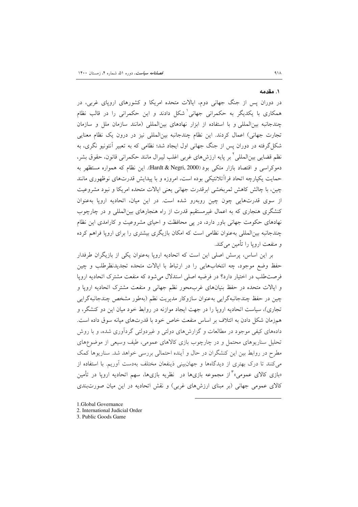### ١. مقدمه

در دوران پس از جنگ جهانی دوم، ایالات متحده امریکا و کشورهای اروپای غربی، در همکاری با یکدیگر به حکمرانی جهانی شکل دادند و این حکمرانی را در قالب نظام چندجانبه بین المللی و با استفاده از ابزار نهادهای بین المللی (مانند سازمان ملل و سازمان تجارت جهانی) اعمال کردند. این نظام چندجانبه بین|لمللی نیز در درون یک نظام معنایی شکل گرفته در دوران پس از جنگ جهانی اول ایجاد شد؛ نظامی که به تعبیر اَنتونیو نگری، به نظم قضایی بین|لمللی َ<sup>۲</sup> بر پایه ارزش های غربی اغلب لیبرال مانند حکمرانی قانون، حقوق بشر، دموکراسی و اقتصاد بازار متکی بود (Hardt & Negri, 2000). این نظام که همواره مستظهر به حمایت یکپارچه اتحاد فراآتلانتیکی بوده است، امروزه و با پیدایش قدرتهای نوظهوری مانند چین، با چالش کاهش ثمربخشی ابرقدرت جهانی یعنی ایالات متحده امریکا و نبود مشروعیت از سوی قدرتهایی چون چین روبهرو شده است. در این میان، اتحادیه اروپا بهعنوان کنشگری هنجاری که به اعمال غیرمستقیم قدرت از راه هنجارهای بین|لمللی و در چارچوب نهادهای حکومت جهانی باور دارد، در یی محافظت و احیای مشروعیت و کارامدی این نظام چندجانبه بینالمللی بهعنوان نظامی است که امکان بازیگری بیشتری را برای اروپا فراهم کرده و منفعت اروپا را تأمین می کند.

بر این اساس، پرسش اصلی این است که اتحادیه اروپا بهعنوان یکی از بازیگران طرفدار حفظ وضع موجود، چه انتخابهایی را در ارتباط با ایالات متحده تجدیدنظرطلب و چین فرصت طلب در اختیار دارد؟ در فرضیه اصلی استدلال می شود که منفعت مشترک اتحادیه اروپا و ایالات متحده در حفظ بنیانهای غربمحور نظم جهانی و منفعت مشترک اتحادیه اروپا و چین در حفظ چندجانبهگرایی بهعنوان سازوکار مدیریت نظم (بهطور مشخص چندجانبهگرایی تجاری)، سیاست اتحادیه اروپا را در جهت ایجاد موازنه در روابط خود میان این دو کنشگر، و همزمان شکل دادن به ائتلاف بر اساس منفعت خاص خود با قدرتهای میانه سوق داده است. دادههای کیفی موجود در مطالعات و گزارشهای دولتی و غیردولتی گردآوری شده، و با روش تحلیل سناریوهای محتمل و در چارچوب بازی کالاهای عمومی، طیف وسیعی از موضوعهای مطرح در روابط بین این کنشگران در حال و آینده احتمالی بررسی خواهد شد. سناریوها کمک می کنند تا درک بهتری از دیدگاهها و جهانبینی ذینفعان مختلف بهدست آوریم. با استفاده از «بازی کالای عمومی»<sup>۳</sup> از مجموعه بازیها در نظریه بازیها، سهم اتحادیه اروپا در تأمین کالای عمومی جهانی (بر مبنای ارزشهای غربی) و نقش اتحادیه در این میان صورتبندی

- 1.Global Governance
- 2. International Judicial Order
- 3. Public Goods Game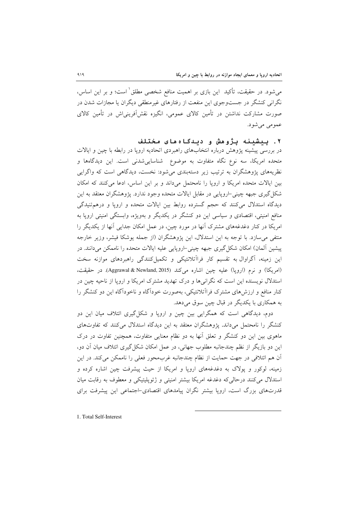می،شود. در حقیقت، تأکید ً این بازی بر اهمیت منافع شخصی مطلق ٰ است؛ و بر این اساس، نگرانی کنشگر در جستوجوی این منفعت از رفتارهای غیرمنطقی دیگران یا مجازات شدن در صورت مشارکت نداشتن در تأمین کالای عمومی، انگیزه نقشآفرینی\ش در تأمین کالای عمومي مي شود.

۲. ىىشىنە ىژوھش و دىنگاەھاي مختلف

در بررسی پیشینه پژوهش درباره انتخابهای راهبردی اتحادیه اروپا در رابطه با چین و ایالات متحده امریکا، سه نوع نگاه متفاوت به موضوع ً شناساییشدنی است. این دیدگاهها و نظریههای پژوهشگران به ترتیب زیر دستهبندی میشود: نخست، دیدگاهی است که واگرایی بین ایالات متحده امریکا و اروپا را نامحتمل میداند و بر این اساس، ادعا میکنند که امکان شکل گیری جبهه چینی-اروپایی در مقابل ایالات متحده وجود ندارد. پژوهشگران معتقد به این دیدگاه استدلال می کنند که حجم گسترده روابط بین ایالات متحده و اروپا و درهم تنیدگی منافع امنیتی، اقتصادی و سیاسی این دو کنشگر در یکدیگر و بهویژه، وابستگی امنیتی اروپا به امریکا در کنار دغدغههای مشترک آنها در مورد چین، در عمل امکان جدایی آنها از یکدیگر را منتفی می سازد. با توجه به این استدلال، این پژوهشگران (از جمله پوشکا فیشر، وزیر خارجه پیشین آلمان) امکان شکل گیری جبهه چینی-اروپایی علیه ایالات متحده را ناممکن می<mark>دانند. در</mark> این زمینه، آگراوال به تقسیم کار فراآتلانتیکی و تکمیل کنندگی راهبردهای موازنه سخت (امريكا) و نرم (ارويا) عليه چين اشاره مي كند (Aggrawal & Newland, 2015). در حقيقت، استدلال نویسنده این است که نگرانیها و درک تهدید مشترک امریکا و اروپا از ناحیه چین در کنار منافع و ارزش های مشترک فراآتلانتیکی، بهصورت خوداگاه و ناخوداگاه این دو کنشگر را به همکاري با يکديگر در قبال چين سوق ميدهد.

دوم، دیدگاهی است که همگرایی بین چین و اروپا و شکل گیری ائتلاف میان این دو کنشگر را نامحتمل میداند. یژوهشگران معتقد به این دیدگاه استدلال می کنند که تفاوتهای ماهوی بین این دو کنشگر و تعلق آنها به دو نظام معنایی متفاوت، همچنین تفاوت در درک این دو بازیگر از نظم چندجانبه مطلوب جهانی، در عمل امکان شکل گیری ائتلاف میان آن دو، آن هم ائتلافی در جهت حمایت از نظام چندجانبه غرب0حور فعلی را ناممکن می کند. در این زمینه، لوکور و پولاک به دغدغههای اروپا و امریکا از حیث پیشرفت چین اشاره کرده و استدلال می کنند درحالی که دغدغه امریکا بیشتر امنیتی و ژئوپلیتیکی و معطوف به رقابت میان قدرتهای بزرگ است، اروپا بیشتر نگران پیامدهای اقتصادی-اجتماعی این پیشرفت برای

1. Total Self-Interest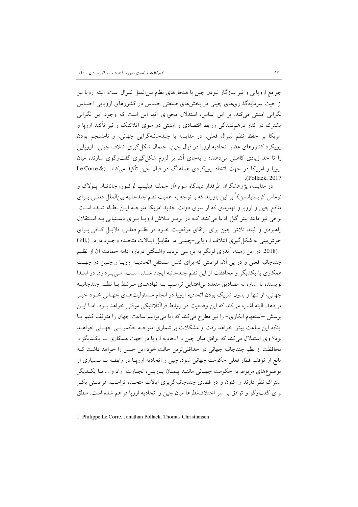جوامع اروپایی و نیز سازگار نبودن چین با هنجارهای نظام بینالملل لیبرال است. البته اروپا نیز از حیث سرمایهگذاریهای چینی در بخشهای صنعتی حساس در کشورهای اروپایی احساس نگرانی امنیتی میکند. بر این اساس، استدلال محوری آنها این است که وجود این نگرانی مشترک در کنار درهم تنیدگی روابط اقتصادی و امنیتی دو سوی آتلانتیک و نیز تأکید اروپا و امريكا بر حفظ نظم ليبرال فعلي، در مقايسه با چندجانبهگرايي جهاني، و نامنسجم بودن رويكرد كشورهاي عضو اتحاديه ارويا در قبال چين، احتمال شكل گيري ائتلاف چيني- اروپايي را تا حد زیادی کاهش میدهند؛ و بهجای آن، بر لزوم شکل گیری گفتوگوی سازنده میان ارویا و امریکا در جهت اتخاذ رویکردی هماهنگ در قبال چین تأکید می کنند (& Le Corre (Pollack, 2017)

در مقايسه، پژوهشگران طرفدار ديدگاه سوم (از جملـه فيليـپ لوكـور، جاناتـان پـولاک و توماس کریستیانسن)` بر این باورند که با توجه به اهمیت نظم چندجانبه بینالملل فعلـی بـرای منافع چین و اروپا و تھدیدی که از سوی دولت جدید امریکا متوجـه ایـن نظـام شـده اسـت. برخی نیز مانند بیتز گیل ادعا میکنند کـه در پرتـو تـلاش اروپـا بـرای دسـتیابی بـه اسـتقلال راهبردی و البته، تلاش چین برای ارتقای موقعیت خـود در نظـم فعلـی، دلایـل کـافی بـرای خوش بینی به شکل گیری ائتلاف اروپایی-چینبی در مقابـل ایـالات متحـده وجـود دارد (Gill,

(2018. در این زمینه، آندری لونگو به بررسی تردید واشنگتن درباره ادامه حمایت آن از نظم چندجانبه فعلی و در یی آن، فرصتی که برای کنش مستقل اتحادیـه اروپـا و چـین در جهـت همکاری با یکدیگر و محافظت از این نظم چندجانبه ایجاد شـده اسـت، مـیپـردازد. در ابتـدا نویسنده با اشاره به مصادیق متعدد بی|عتنایی ترامب بـه نهادهـای مـرتبط بـا نظـم چندجانبـه جهانی، از تنها و بدون شریک بودن اتحادیه اروپا در انجام مـسئولیتهـای جهـانی خـود خبـر می،دهد. البته اشاره می کند که این وضعیت در روابط فراآتلانتیکی موقتی خواهد بـود، امـا ایـن پرسش –استفهام انکاری– را نیز مطرح میکند که آیا میتوانیم ساعت جهان را متوقف کنیم یـا اینکه این ساعت پیش خواهد رفت و مشکلات بی شماری متوجـه حکمرانـی جهـانی خواهــد بود؟ وی استدلال میکند که توافق میان چین و اتحادیه اروپا در جهت همکاری بـا یکــدیگر و محافظت از نظم چندجانبه جهانی در حداقلیترین حالت خود این حسن را خواهد داشت ک مانع از توقف قطار فعلی حکومت جهانی شود. چین و اتحادیه اروپـا در رابطـه بـا بـسیاری از موضوعهای مربوط به حکومت جهـانی ماننـد پیمـان پـاریس، تجـارت آزاد و … بـا یکـدیگر اشتراک نظر دارند و اکنون و در فضای چندجانبهگریزی ایالات متحـده ترامـپ، فرصـتی بکـر برای گفتوگو و توافق بر سر اختلاف ظرها میان چین و اتحادیه اروپا فراهم شده است. منطق

<sup>1.</sup> Philippe Le Corre, Jonathan Pollack, Thomas Christiansen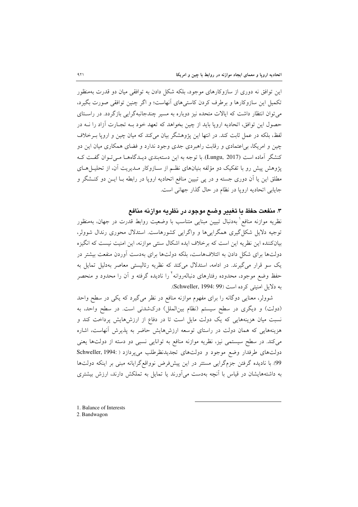این توافق نه دوری از سازوکارهای موجود، بلکه شکل دادن به توافقی میان دو قدرت بهمنظور تکمیل این سازوکارها و برطرف کردن کاستی های آنهاست؛ و اگر چنین توافقی صورت بگیرد، میتوان انتظار داشت که ایالات متحده نیز دوباره به مسیر چندجانبهگرایی بازگر دد. در راستای حصول این توافق، اتحادیه اروپا باید از چین بخواهد که تعهد خود بـه تجـارت آزاد را نــه در لفظ، بلکه در عمل ثابت کند. در انتها این یژوهشگر بیان می کند که میان چین و اروپا بـرخلاف چین و امریکا، بی اعتمادی و رقابت راهبردی جدی وجود ندارد و فضای همکاری میان این دو کنشگر آماده است (Lungu, 2017). با توجه به این دستهبندی دیـدگاههـا مـیتوان گفـت کـه یژوهش پیش رو با تفکیک دو مؤلفه بنیانهای نظـم از سـازوکار مـدیریت آن، از تحلیــلِ هــای مطلق این یا اَن دوری جسته و در پی تبیین منافع اتحادیه اروپا در رابطه بــا ایــن دو کنــشگر و جایابی اتحادیه اروپا در نظام در حال گذار جهانی است.

### ۳. منفعت حفظ يا تغيير وضع موجود در نظريه موازنه منافع

نظریه موازنه منافع` بهدنبال تبیین مبنایی متناسب با وضعیت روابط قدرت در جهان، بهمنظور توجیه دلایل شکل گیری همگراییها و واگرایی کشورهاست. استدلال محوری رندال شوولر، بیانکننده این نظریه این است که برخلاف ایده اشکال سنتی موازنه، این امنیت نیست که انگیزه دولتها برای شکل دادن به ائتلافهاست، بلکه دولتها برای بهدست آوردن منفعت بیشتر در یک سو قرار می گیرند. در ادامه، استدلال میکند که نظریه رئالیستی معاصر بهدلیل تمایل به حفظ وضع موجود، محدوده رفتارهای دنبالهروانه' را نادیده گرفته و آن را محدود و منحصر به دلایل امنیتی کرده است (Schweller, 1994: 99).

شوولر، معنایی دوگانه را برای مفهوم موازنه منافع در نظر میگیرد که یکی در سطح واحد (دولت) و دیگری در سطح سیستم (نظام بینالملل) درکشدنی است. در سطح واحد، به نسبت میان هزینههایی که یک دولت مایل است تا در دفاع از ارزشهایش پرداخت کند و هزینههایی که همان دولت در راستای توسعه ارزشهایش حاضر به پذیرش آنهاست، اشاره میکند. در سطح سیستمی نیز، نظریه موازنه منافع به توانایی نسبی دو دسته از دولتها یعنی دولتهای طرفدار وضع موجود و دولتهای تجدیدنظرطلب میپردازد ( :Schweller, 1994 99. با نادیده گرفتن جزمگرایی مستتر در این پیشفرض نوواقع گرایانه مبنی بر اینکه دولتها به داشتههایشان در قیاس با آنچه بهدست می آورند یا تمایل به تملکش دارند، ارزش بیشتری

1. Balance of Interests

2. Bandwagon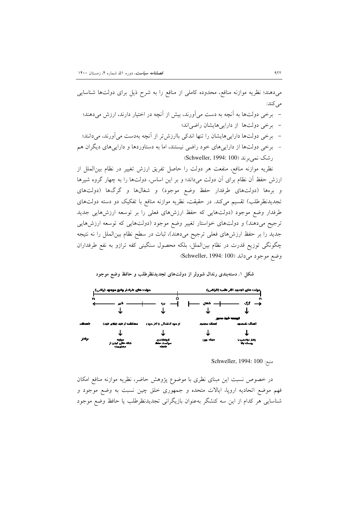میدهند؛ نظریه موازنه منافع، محدوده کاملی از منافع را به شرح ذیل برای دولتها شناسایی مے کند:

- برخی دولتها به آنچه به دست میآورند، بیش از آنچه در اختیار دارند، ارزش میدهند؛ - برخی دولتها از داراییهایشان راضی اند؛
- برخی دولتها داراییهایشان را تنها اندکی باارزش تر از آنچه بهدست می آورند، میدانند؛
- برخی دولتها از داراییهای خود راضی نیستند، اما به دستاوردها و داراییهای دیگران هم رشک نمی برند (Schweller, 1994: 100)

نظریه موازنه منافع، منفعت هر دولت را حاصل تفریق ارزش تغییر در نظام بینالملل از ارزش حفظ آن نظام برای آن دولت میداند؛ و بر این اساس، دولتها را به چهار گروه شیرها و برهها (دولتهای طرفدار حفظ وضع موجود) و شغالها و گرگها (دولتهای تجدیدنظرطلب) تقسیم میکند. در حقیقت، نظریه موازنه منافع با تفکیک دو دسته دولتهای طرفدار وضع موجود (دولتهايي كه حفظ ارزشهاى فعلى را بر توسعه ارزشهايي جديد ترجیح میدهند) و دولتهای خواستار تغییر وضع موجود (دولتهایی که توسعه ارزشهایی جدید را بر حفظ ارزشهای فعلی ترجیح میدهند)، ثبات در سطح نظام بینالملل را نه نتیجه چگونگی توزیع قدرت در نظام بین|لملل، بلکه محصول سنگینی کفه ترازو به نفع طرفداران وضع موجود می داند (Schweller, 1994: 100)

شکل ۱. دستهبندی رندال شوولر از دولتهای تجدیدنظرطلب و حافظ وضع موجود



Schweller, 1994: 100

در خصوص نسبت این مبنای نظری با موضوع پژوهش حاضر، نظریه موازنه منافع امکان فهم موضع اتحادیه اروپا، ایالات متحده و جمهوری خلق چین نسبت به وضع موجود و شناسایی هر کدام از این سه کنشگر بهعنوان بازیگرانی تجدیدنظرطلب یا حافظ وضع موجود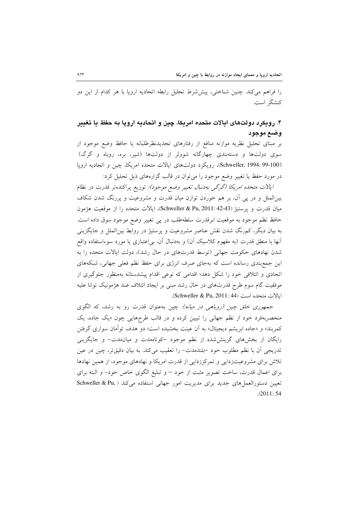را فراهم می کند. چنین شناختی، پیششرط تحلیل رابطه اتحادیه اروپا با هر کدام از این دو كنشگ است.

### ۴. رويكرد دولتهاي ايالات متحده امريكا، چين و اتحاديه ارويا به حفظ يا تغيير وضع موجود

بر مبنای تحلیل نظریه موازنه منافع از رفتارهای تجدیدنظرطلبانه یا حافظ وضع موجود از سوی دولتها و دستهبندی چهارگانه شوولر از دولتها (شیر، بره، روباه و گرگ) (Schweller, 1994: 99-100)، رويكرد دولتهاى ايالات متحده امريكا، چين و اتحاديه اروپا در مورد حفظ یا تغییر وضع موجود را می توان در قالب گزارههای ذیل تحلیل کرد:

*ايالات متحده امريكا (گرگي بهدنبال تغيير وضع موجود):* توزيع پراكندهتر قدرت در نظام بینالملل و در پی آن، بر هم خوردن توازن میان قدرت و مشروعیت و پررنگ شدن شکاف میان قدرت و پرستیژ (Schweller & Pu, 2011: 42-43)، ایالات متحده را از موقعیت هژمون حافظ نظم موجود به موقعیت ابرقدرت سلطهطلب در پی تغییر وضع موجود سوق داده است. به بیان دیگر، کمرنگ شدن نقش عناصر مشروعیت و پرستیژ در روابط بین|لملل و جایگزینی أنها با منطق قدرت (به مفهوم کلاسیک اَن) و بهدنبال اَن، بی|عتباری یا مورد سوءاستفاده واقع شدن نهادهای حکومت جهانی (توسط قدرتهای در حال رشد)، دولت ایالات متحده را به این جمع بندی رسانده است که بهجای صرف انرژی برای حفظ نظم فعلی جهانی، شبکههای اتحادی و ائتلافی خود را شکل دهد؛ اقدامی که نوعی اقدام پیشدستانه بهمنظور جلوگیری از موفقیت گام سوم طرح قدرتهای در حال رشد مبنی بر ایجاد ائتلاف ضد هژمونیک توانا علیه ابالات متحده است (Schweller & Pu, 2011: 44).

*جمهوری خلق چین (روباهی در میانه): چین* بهعنوان قدرت رو به رشد، که الگوی منحصربهفرد خود از نظم جهانی را تبیین کرده و در قالب طرحهایی چون «یک جاده، یک کمربند» و «جاده ابریشم دیجیتال» به آن عینت بخشیده است؛ دو هدف توأمان سواری گرفتن رایگان از بخشهای گزینش شده از نظم موجود کوتاهمدت و میان مدت- و جایگزینی تدریجی آن با نظم مطلوب خود –بلندمدت– را تعقیب میکند. به بیان دقیقتر، چین در عین تلاش برای مشروعیتزدایی و تمرکززدایی از قدرت امریکا و نهادهای موجود، از همین نهادها برای اعمال قدرت، ساخت تصویر مثبت از خود – و تبلیغ الگوی خاص خود- و البته برای تعیین دستورالعمل های جدید برای مدیریت امور جهانی استفاده می کند ( Schweller & Pu,  $(2011:54)$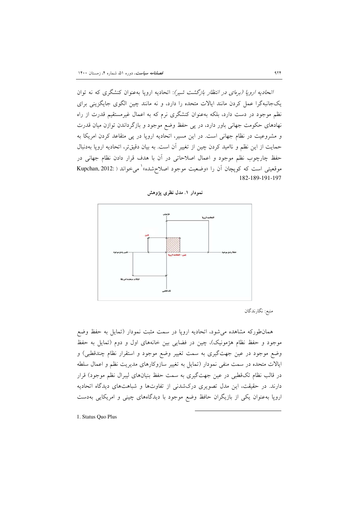*اتحادیه اروپا (برمای در انتظار بازگشت شیر):* اتحادیه اروپا بهعنوان کنشگری که نه توان یکجانبهگرا عمل کردن مانند ایالات متحده را دارد، و نه مانند چین الگوی جایگزینی برای نظم موجود در دست دارد، بلکه بهعنوان کنشگری نرم که به اعمال غیرمستقیم قدرت از راه نهادهای حکومت جهانی باور دارد، در پی حفظ وضع موجود و بازگرداندن توازن میان قدرت و مشروعیت در نظام جهانی است. در این مسیر، اتحادیه اروپا در پی متقاعد کردن امریکا به حمایت از این نظم و ناامید کردن چین از تغییر آن است. به بیان دقیقتر، اتحادیه اروپا بهدنبال حفظ چارچوب نظم موجود و اعمال اصلاحاتی در آن با هدف قرار دادن نظام جهانی در موقعیتی است که کوپچان آن را «وضعیت موجود اصلاحشده» می خواند ( :Kupchan, 2012 182-189-191-197





منبع: نگارندگان

همانطورکه مشاهده می شود، اتحادیه اروپا در سمت مثبت نمودار (تمایل به حفظ وضع موجود و حفظ نظام هژمونیک)، چین در فضایی بین خانههای اول و دوم (تمایل به حفظ وضع موجود در عین جهتگیری به سمت تغییر وضع موجود و استقرار نظام چندقطبی) و ایالات متحده در سمت منفی نمودار (تمایل به تغییر سازوکارهای مدیریت نظم و اعمال سلطه در قالب نظام تکقطبی در عین جهتگیری به سمت حفظ بنیانهای لیبرال نظم موجود) قرار دارند. در حقیقت، این مدل تصویری درکشدنی از تفاوتها و شباهتهای دیدگاه اتحادیه اروپا بهعنوان یکی از بازیگران حافظ وضع موجود با دیدگاههای چینی و امریکایی بهدست

1. Status Quo Plus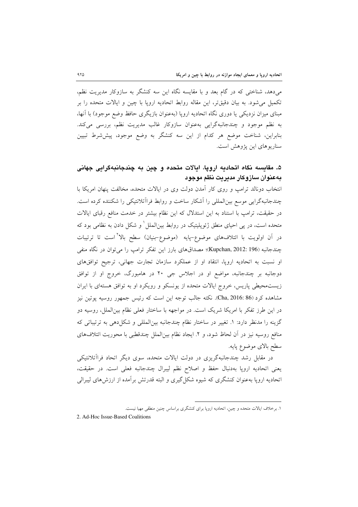می دهد، شناختی که در گام بعد و با مقایسه نگاه این سه کنشگر به سازوکار مدیریت نظم، تکمیل می شود. به بیان دقیقتر، این مقاله روابط اتحادیه اروپا با چین و ایالات متحده را بر مبنای میزان نزدیکی یا دوری نگاه اتحادیه اروپا (بهعنوان بازیگری حافظ وضع موجود) با آنها، به نظم موجود و چندجانبهگرایی بهعنوان سازوکار غالب مدیریت نظم، بررسی میکند. بنابراین، شناخت موضع هر کدام از این سه کنشگر به وضع موجود، پیششرط تبیین سناریو های این پژوهش است.

## ۵. مقاىسه نگاه اتحاديه ارويا، ايالات متحده و چين به چندجانبهگرايي جهاني بهعنوان سازوكار مديريت نظم موجود

انتخاب دونالد ترامب و روى كار آمدن دولت وى در ايالات متحده، مخالفت پنهان امريكا با چندجانبهگرایی موسع بین المللی را آشکار ساخت و روابط فراآتلانتیکی را شکننده کرده است. در حقیقت، ترامپ با استناد به این استدلال که این نظام بیشتر در خدمت منافع رقبای ایالات متحده است، در پی احیای منطق ژئوپلیتیک در روابط بین|لملل ٰ و شکل دادن به نظامی بود که در آن اولویت با ائتلافهای موضوع-پایه (موضوع-بنیان) سطح بالا<sup>۲</sup>است تا ترتیبات چندجانبه (Kupchan, 2012: 196)؛ مصداقهای بارز این تفکر ترامپ را می توان در نگاه منفی او نسبت به اتحادیه اروپا، انتقاد او از عملکرد سازمان تجارت جهانی، ترجیح توافقهای دوجانبه بر چندجانبه، مواضع او در اجلاس جي ۲۰ در هامبورگ، خروج او از توافق زیستمحیطی پاریس، خروج ایالات متحده از یونسکو و رویکرد او به توافق هستهای با ایران مشاهده کرد (86 :Cha, 2016). نکته جالب توجه این است که رئیس جمهور روسیه پوتین نیز در این طرز تفکر با امریکا شریک است. در مواجهه با ساختار فعلی نظام بینالملل، روسیه دو گزینه را مدنظر دارد: ١. تغییر در ساختار نظام چندجانبه بین|لمللی و شکل دهی به ترتیباتی که منافع روسيه نيز در أن لحاظ شود، و ٢. ايجاد نظام بين|لملل چندقطبي با محوريت ائتلافهاي سطح بالاي موضوع پايه.

در مقابل رشد چندجانبهگریزی در دولت ایالات متحده، سوی دیگر اتحاد فراآتلانتیکی يعني اتحاديه اروپا بهدنبال حفظ و اصلاح نظم ليبرال چندجانبه فعلي است. در حقيقت، اتحادیه اروپا بهعنوان کنشگری که شیوه شکل گیری و البته قدرتش بر آمده از ارزش های لیبرالی

2. Ad-Hoc Issue-Based Coalitions

۱. برخلاف ایالات متحده و چین، اتحادیه اروپا برای کنشگری براساس چنین منطقی مهیا نیست.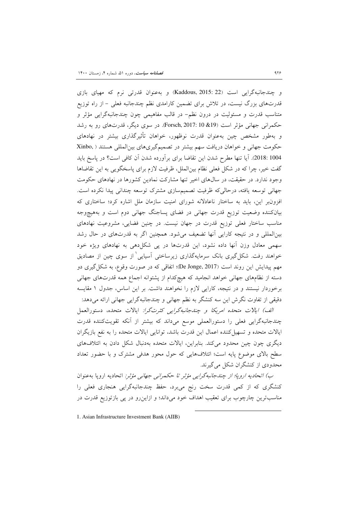و چندجانبهگرایی است (Kaddous, 2015: 22) و به عنوان قدرتی نرم که مهیای بازی قدرتهای بزرگ نیست، در تلاش برای تضمین کارامدی نظم چندجانبه فعلی – از راه توزیع متناسب قدرت و مسئولیت در درون نظم– در قالب مفاهیمی چون چندجانبهگرایی مؤثر و حکمرانی جهانی مؤثر است (19& 10 :Forsch, 2017). در سوی دیگر، قدرتهای رو به رشد و بهطور مشخص چین بهعنوان قدرت نوظهور، خواهان تأثیرگذاری بیشتر در نهادهای حکومت جهانی و خواهان دریافت سهم بیشتر در تصمیم گیریهای بین المللی هستند ( ,Xinbo 2018: 1004). آیا تنها مطرح شدن این تقاضا برای برآورده شدن آن کافی است؟ در پاسخ باید گفت خیر، چرا که در شکل فعلی نظام بین الملل، ظرفیت لازم برای پاسخگویی به این تقاضاها وجود ندارد. در حقیقت، در سال های اخیر تنها مشارکت نمادین کشورها در نهادهای حکومت جهانی توسعه یافته، درحالی که ظرفیت تصمیمسازی مشترک توسعه چندانی پیدا نکرده است. افزون بر این، باید به ساختار ناعادلانه شورای امنیت سازمان ملل اشاره کرد؛ ساختاری که بیانکننده وضعیت توزیع قدرت جهانی در فضای پساجنگ جهانی دوم است و بههیچوجه مناسب ساختار فعلی توزیع قدرت در جهان نیست. در چنین فضایی، مشروعیت نهادهای بینالمللی و در نتیجه کارایی آنها تضعیف می شود. همچنین اگر به قدرتهای در حال رشد سهمی معادل وزن آنها داده نشود، این قدرتها در پی شکلدهی به نهادهای ویژه خود خواهند رفت. شکل گیری بانک سرمایهگذاری زیرساختی آسیایی ٰ از سوی چین از مصادیق مهم پیدایش این روند است (De Jonge, 2017)؛ اتفاقی که در صورت وقوع، به شکل گیری دو دسته از نظامهای جهانی خواهد انجامید که هیچکدام از پشتوانه اجماع همه قدرتهای جهانی برخوردار نیستند و در نتیجه، کارایی لازم را نخواهند داشت. بر این اساس، جدول ۱ مقایسه دقیقی از تفاوت نگرش این سه کنشگر به نظم جهانی و چندجانبهگرایی جهانی ارائه میدهد:

*الف) ایالات متحده امریکا و چندجانبهگرایی کثرتگرا:* ایالات متحده، دستورالعمل چندجانبهگرایی فعلی را دستورالعملی موسع میداند که بیشتر از آنکه تقویتکننده قدرت ایالات متحده و تسهیل کننده اعمال این قدرت باشد، توانایی ایالات متحده را به نفع بازیگران دیگری چون چین محدود میکند. بنابراین، ایالات متحده بهدنبال شکل دادن به ائتلافهای سطح بالای موضوع پایه است؛ ائتلافهایی که حول محور هدفی مشترک و با حضور تعداد محدودی از کنشگران شکل می گیرند.

ب) اتحادیه اروپا؛ از چندجانبهگرایی مؤثر تا حکمرانی جهانی مؤثر: اتحادیه اروپا به عنوان کنشگری که از کمی قدرت سخت رنج میبرد، حفظ چندجانبهگرایی هنجاری فعلی را مناسبترین چارچوب برای تعقیب اهداف خود میداند؛ و ازاین رو در پی بازتوزیع قدرت در

1. Asian Infrastructure Investment Bank (AIIB)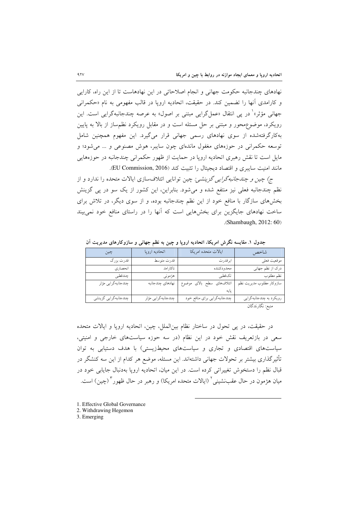نهادهای چندجانبه حکومت جهانی و انجام اصلاحاتی در این نهادهاست تا از این راه، کارایی و كارامدي أنها را تضمين كند. در حقيقت، اتحاديه اروپا در قالب مفهومي به نام «حكمراني جهانی مؤثر»<sup>۱</sup> در یی انتقال «عمل گرایی مبتنی بر اصول» به عرصه چندجانبهگرایی است. این رویکرد، موضوع محور و مبتنی بر حل مسئله است و در مقابل رویکرد نظم ساز از بالا به پایین بهکارگرفتهشده از سوی نهادهای رسمی جهانی قرار میگیرد. این مفهوم همچنین شامل توسعه حکمرانی در حوزههای مغفول ماندهای چون سایبر، هوش مصنوعی و … می شود؛ و مایل است تا نقش رهبری اتحادیه اروپا در حمایت از ظهور حکمرانی چندجانبه در حوزههایی مانند امنیت سایبری و اقتصاد دیجیتال را تثبیت کند (EU Commission, 2016).

ج) چین و چن*دجانبه گرایی گزینشی:* چین توانایی ائتلافسازی ایالات متحده را ندارد و از نظم چندجانبه فعلی نیز منتفع شده و می شود. بنابراین، این کشور از یک سو در یی گزینش بخشهای سازگار با منافع خود از این نظم چندجانبه بوده، و از سوی دیگر، در تلاش برای ساخت نهادهای جایگزین برای بخشهایی است که آنها را در راستای منافع خود نمی بیند .(Shambaugh, 2012: 60)

| چين                       | اتحاديه اروپا      | ايالات متحده امريكا          | شاخص                     |
|---------------------------|--------------------|------------------------------|--------------------------|
| قدرت بزرگ                 | قدرت متوسط         | ابرقدرت                      | موقعيت فعلى              |
| انحصاري                   | ناكارامد           | محدودكننده                   | درک از نظم جهانی         |
| چندقطبی                   | هژمونی             | تكقطبي                       | نظم مطلوب                |
| ___<br>چندجانبهگرایی مؤثر | نهادهاى چندجانبه   | ائتلافهاى سطح بالاى موضوع    | سازوكار مطلوب مديريت نظم |
|                           |                    |                              |                          |
| چندجانبهگرایی گزینشی      | چندجانبهگرایی مؤثر | چندجانبهگرایی برای منافع خود | رویکرد به چندجانبهگرایی  |
|                           |                    |                              | ی دی برخ کار نام گان     |

جدول ١. مقايسه نگرش امريكا، اتحاديه اروپا و چين به نظم جهاني و سازوكارهاي مديريت آن

منبع: نگارندگان

در حقیقت، در پی تحول در ساختار نظام بین الملل، چین، اتحادیه اروپا و ایالات متحده سعی در بازتعریف نقش خود در این نظام (در سه حوزه سیاستهای خارجی و امنیتی، سیاستهای اقتصادی و تجاری و سیاستهای محیطزیستی) با هدف دستیابی به توان تأثیر گذاری بیشتر بر تحولات جهانی داشتهاند. این مسئله، موضع هر کدام از این سه کنشگر در قبال نظم را دستخوش تغییراتی کرده است. در این میان، اتحادیه اروپا بهدنبال جایابی خود در میان هژمون در حال عقب:شینی ٔ (ایالات متحده امریکا) و رهبر در حال ظهور ٔ (چین) است.

- 1. Effective Global Governance
- 2. Withdrawing Hegemon

3. Emerging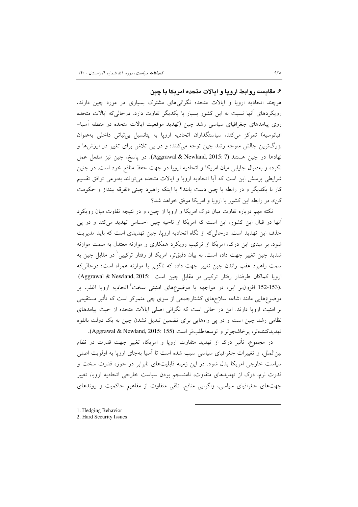۶. مقایسه روابط اروپا و ایالات متحده امریکا یا چین

هرچند اتحادیه اروپا و ایالات متحده نگرانیهای مشترک بسیاری در مورد چین دارند، رویکردهای آنها نسبت به این کشور بسیار با یکدیگر تفاوت دارد. درحالی که ایالات متحده روی پیامدهای جغرافیای سیاسی رشد چین (تهدید موقعیت ایالات متحده در منطقه آسیا– اقیانوسیه) تمرکز میکند، سیاستگذاران اتحادیه اروپا به پتانسیل بی ثباتی داخلی بهعنوان بزرگترین چالش متوجه رشد چین توجه میکنند؛ و در پی تلاش برای تغییر در ارزشها و نهادها در چین هستند (Aggrawal & Newland, 2015: 7). در یاسخ، چین نیز منفعل عمل نکرده و بهدنبال جایابی میان امریکا و اتحادیه ارویا در جهت حفظ منافع خود است. در چنین شرایطی پرسش این است که آیا اتحادیه اروپا و ایالات متحده میتوانند بهنوعی توافق تقسیم کار با یکدیگر و در رابطه با چین دست یابند؟ یا اینکه راهبرد چینی «تفرقه بینداز و حکومت کن»، در رابطه این کشور با اروپا و امریکا موفق خواهد شد؟

نکته مهم درباره تفاوت میان درک امریکا و اروپا از چین، و در نتیجه تفاوت میان رویکرد آنها در قبال این کشور، این است که امریکا از ناحیه چین احساس تهدید میکند و در پی حذف این تهدید است. درحالی که از نگاه اتحادیه اروپا، چین تهدیدی است که باید مدیریت شود. بر مبنای این درک، امریکا از ترکیب رویکرد همکاری و موازنه معتدل به سمت موازنه شدید چین تغییر جهت داده است. به بیان دقیق، ، امریکا از رفتار ترکیبی ٔ در مقابل چین به سمت راهبرد عقب راندن چین تغییر جهت داده که ناگزیر با موازنه همراه است؛ درحالیکه اروپا كماكان طرفدار رفتار تركيبي در مقابل چين است :Aggrawal & Newland, 2015 .<br>.153-153 افزونبر این، در مواجهه با موضوعهای امنیتی سخت<sup>٬</sup> اتحادیه اروپا اغلب بر موضوعهایی مانند اشاعه سلاحهای کشتارجمعی از سوی چی متمرکز است که تأثیر مستقیمی بر امنیت اروپا دارند. این در حالی است که نگرانی اصلی ایالات متحده از حیث پیامدهای نظامی رشد چین است و در پی راههایی برای تضمین تبدیل نشدن چین به یک دولت بالقوه تهديدكنندهتر، يرخاشجوتر و توسعه طلبتر است (Aggrawal & Newland, 2015: 155).

در مجموع، تأثیر درک از تهدید متفاوت اروپا و امریکا، تغییر جهت قدرت در نظام بینالملل، و تغییرات جغرافیای سیاسی سبب شده است تا آسیا بهجای اروپا به اولویت اصلی سیاست خارجی امریکا بدل شود. در این زمینه قابلیتهای نابرابر در حوزه قدرت سخت و قدرت نرم، درک از تهدیدهای متفاوت، نامنسجم بودن سیاست خارجی اتحادیه اروپا، تغییر جهتهای جغرافیای سیاسی، واگرایی منافع، تلقی متفاوت از مفاهیم حاکمیت و روندهای

1. Hedging Behavior

<sup>2.</sup> Hard Security Issues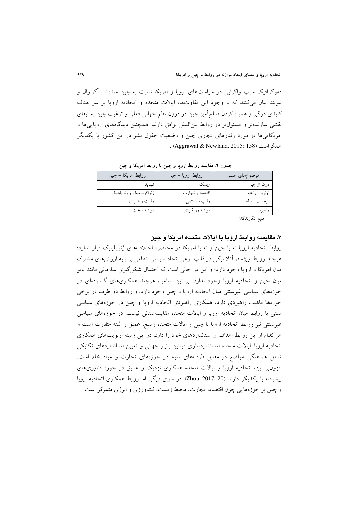دموگرافیک سبب واگرایی در سیاستهای اروپا و امریکا نسبت به چین شدهاند. آگراوال و نمولند سان مركنند كه با وجود اين تفاوتها، ايالات متحده و اتحاديه اروپا بر سر هدف کلیدی درگیر و همراه کردن صلحآمیز چین در درون نظم جهانی فعلی و ترغیب چین به ایفای نقشی سازندهتر و مسئول تر در روابط بین|لملل توافق دارند. همچنین دیدگاههای اروپایی ها و امریکایی ها در مورد رفتارهای تجاری چین و وضعیت حقوق بشر در این کشور با یکدیگر . (Aggrawal & Newland, 2015: 158).

| روابط امريكا – چين      | روابط اروپا – چین | موضوعهاى اصلى                                                 |
|-------------------------|-------------------|---------------------------------------------------------------|
| تهديد                   | ريسک              | درک از چین                                                    |
| ژئواکونومیک و ژئوپلیتیک | اقتصاد و تجارت    | اولويت رابطه                                                  |
| رقابت راهبردي           | رقيب سيستمى       | برچسب رابطه                                                   |
| موازنه سخت              | موازنه رويكردي    | راهبرد                                                        |
|                         |                   | $\cdot$ $\neq$ $\cdot$ $\cdot$ $\neq$ $\cdot$ $\cdot$ $\cdot$ |

جدول ٢. مقايسه روابط اروپا و چين با روابط امريكا و چين

منبع: نگارندگان

### ۷. مقایسه روابط اروپا با ایالات متحده امریکا و چین

روابط اتحادیه اروپا نه با چین و نه با امریکا در محاصره اختلافهای ژئوپلیتیک قرار ندارد؛ هرچند روابط ویژه فرااًتلانتیکی در قالب نوعی اتحاد سیاسی-نظامی بر پایه ارزشهای مشترک میان امریکا و اروپا وجود دارد؛ و این در حالی است که احتمال شکل گیری سازمانی مانند ناتو میان چین و اتحادیه اروپا وجود ندارد. بر این اساس، هرچند همکاریهای گستردهای در حوزههای سیاسی غیرسنتی میان اتحادیه اروپا و چین وجود دارد، و روابط دو طرف در برخی حوزهها ماهیت راهبردی دارد، همکاری راهبردی اتحادیه اروپا و چین در حوزههای سیاسی سنتی با روابط میان اتحادیه اروپا و ایالات متحده مقایسهشدنی نیست. در حوزههای سیاسی غیرسنتی نیز روابط اتحادیه اروپا با چین و ایالات متحده وسیع، عمیق و البته متفاوت است و هر کدام از این روابط اهداف و استانداردهای خود را دارد. در این زمینه اولویتهای همکاری اتحادیه اروپا–ایالات متحده استانداردسازی قوانین بازار جهانی و تعیین استانداردهای تکنیکی شامل هماهنگی مواضع در مقابل طرفهای سوم در حوزههای تجارت و مواد خام است. افزونبر این، اتحادیه اروپا و ایالات متحده همکاری نزدیک و عمیق در حوزه فناوریهای پیشرفته با یکدیگر دارند (Zhou, 2017: 20). در سوی دیگر، اما روابط همکاری اتحادیه اروپا و چین بر حوزههایی چون اقتصاد، تجارت، محیط زیست، کشاورزی و انرژی متمرکز است.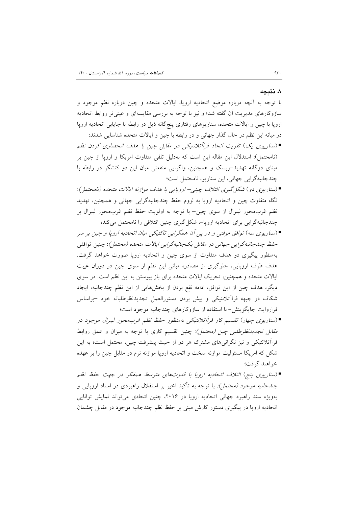### ۸. نتىجە

با توجه به آنچه درباره موضع اتحادیه اروپا، ایالات متحده و چین درباره نظم موجود و سازوکارهای مدیریت أن گفته شد؛ و نیز با توجه به بررسی مقایسهای و عینیتر روابط اتحادیه اروپا با چین و ایالات متحده، سناریوهای رفتاری پنج گانه ذیل در رابطه با جایابی اتحادیه اروپا در میانه این نظم در حال گذار جهانی و در رابطه با چین و ایالات متحده شناسایی شدند:

- ■(سناریوی یک) تقویت اتحاد فراآتلانتیکی در مقابل چین با هدف انحصاری کردن نظم (نامحتمل): استدلال این مقاله این است که بهدلیل تلقی متفاوت امریکا و اروپا از چین بر مبنای دوگانه تهدید-ریسک و همچنین، واگرایی منفعتی میان این دو کنشگر در رابطه با چندجانبهگرايي جهاني، اين سناريو، نامحتمل است؛
- (سناریوی دو) شکل گیری ائتلاف چینی– اروپایی با هدف موازنه ایالات متحده (نامحتمل): نگاه متفاوت چین و اتحادیه اروپا به لزوم حفظ چندجانبهگرایی جهانی و همچنین، تهدید نظم غربمحور ليبرال از سوى چين– با توجه به اولويت حفظ نظم غربمحور ليبرال بر چندجانبهگرایی برای اتحادیه اروپا-، شکل گیری چنین ائتلافی را نامحتمل می کند؛
- (سناريوي سه) توافق موقتي و در پي آن همگرايي تاكتيكي ميان اتحاديه اروپا و چين بر سر حفظ چندجانبه گرایی جهانی در مقابل یک جانبه گرایی ایالات متحده (محتمل): چنین توافقی بهمنظور پیگیری دو هدف متفاوت از سوی چین و اتحادیه اروپا صورت خواهد گرفت. هدف طرف اروپایی، جلوگیری از مصادره مبانی این نظم از سوی چین در دوران غیبت ایالات متحده و همچنین، تحریک ایالات متحده برای باز پیوستن به این نظم است. در سوی دیگر، هدف چین از این توافق، ادامه نفع بردن از بخشهایی از این نظم چندجانبه، ایجاد شکاف در جبهه فراآتلانتیکی و پیش بردن دستورالعمل تجدیدنظرطلبانه خود -براساس فراروایت جایگزینش- با استفاده از سازوکارهای چندجانبه موجود است؛
- ■(سناریوی چهار) تقسیم کار فراآتلانتیکی بهمنظور حفظ نظم غربمحور لیبرال موجود در *مقابل تجدیدنظرطلبی چین (محتمل)*: چنین تقسیم کاری با توجه به میزان و عمق روابط فرااًتلانتیکی و نیز نگرانی های مشترک هر دو از حیث پیشرفت چین، محتمل است؛ به این شکل که امریکا مسئولیت موازنه سخت و اتحادیه اروپا موازنه نرم در مقابل چین را بر عهده خواهند گرفت؛
- ■(سناریوی پنج) ائتلاف اتحادیه اروپا با قدرتهای متوسط همفکر در جهت حفظ نظم *چندجانبه موجود (محتمل):* با توجه به تأکید اخیر بر استقلال راهبردی در اسناد اروپایی و بهویژه سند راهبرد جهانی اتحادیه اروپا در ۲۰۱۶، چنین اتحادی می تواند نمایش توانایی اتحادیه اروپا در پیگیری دستور کارش مبنی بر حفظ نظم چندجانبه موجود در مقابل چشمان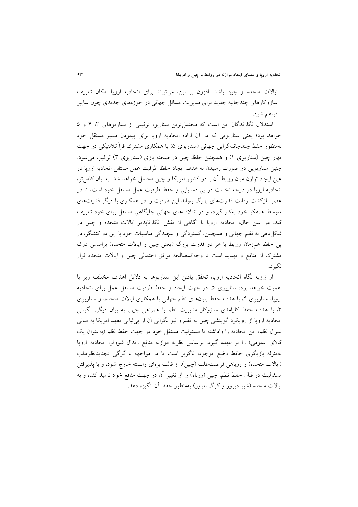ایالات متحده و چین باشد. افزون بر این، میتواند برای اتحادیه اروپا امکان تعریف سازو کارهای چندجانبه جدید برای مدیریت مسائل جهانی در حوزههای جدیدی چون سایبر فراهم شود.

استدلال نگارندگان این است که محتمل ترین سناریو، ترکیبی از سناریوهای ۳، ۴ و ۵ خواهد بود؛ یعنی سناریویی که در آن اراده اتحادیه اروپا برای پیمودن مسیر مستقل خود بهمنظور حفظ چندجانبهگرایی جهانی (سناریوی ۵) با همکاری مشترک فراآتلانتیکی در جهت مهار چین (سناریوی ۴) و همچنین حفظ چین در صحنه بازی (سناریوی ۳) ترکیب می شود. چنین سناریویی در صورت رسیدن به هدف ایجاد حفظ ظرفیت عمل مستقل اتحادیه اروپا در عین ایجاد توازن میان روابط آن با دو کشور امریکا و چین محتمل خواهد شد. به بیان کامل تر، اتحادیه اروپا در درجه نخست در یی دستیابی و حفظ ظرفیت عمل مستقل خود است، تا در عصر بازگشت رقابت قدرتهای بزرگ بتواند این ظرفیت را در همکاری با دیگر قدرتهای متوسط همفکر خود بهکار گیرد، و در ائتلافهای جهانی جایگاهی مستقل برای خود تعریف کند. در عین حال، اتحادیه اروپا با آگاهی از نقش انکارناپذیر ایالات متحده و چین در شکلدهی به نظم جهانی و همچنین، گستردگی و پیچیدگی مناسبات خود با این دو کنشگر، در پی حفظ همزمان روابط با هر دو قدرت بزرگ (یعنی چین و ایالات متحده) براساس درک مشترک از منافع و تهدید است تا وجهالمصالحه توافق احتمالی چین و ایالات متحده قرار نگير د.

از زاويه نگاه اتحاديه ارويا، تحقق يافتن اين سناريوها به دلايل اهداف مختلف زير با اهميت خواهد بود: سناريوي ۵، در جهت ايجاد و حفظ ظرفيت مستقل عمل براي اتحاديه اروپا، سناریوی ۴، با هدف حفظ بنیانهای نظم جهانی با همکاری ایالات متحده، و سناریوی ۳، با هدف حفظ کارامدی سازوکار مدیریت نظم با همراهی چین. به بیان دیگر، نگرانی اتحادیه اروپا از رویکرد گزینشی چین به نظم و نیز نگرانی آن از بی¢باتی تعهد امریکا به مبانی ليبرال نظم، اين اتحاديه را واداشته تا مسئوليت مستقل خود در جهت حفظ نظم (بهعنوان يک کالای عمومی) را بر عهده گیرد. براساس نظریه موازنه منافع رندال شوولر، اتحادیه اروپا بهمنزله بازیگری حافظ وضع موجود، ناگزیر است تا در مواجهه با گرگی تجدیدنظرطلب (ایالات متحده) و روباهی فرصت طلب (چین)، از قالب برهای وابسته خارج شود، و با پذیرفتن مسئولیت در قبال حفظ نظم، چین (روباه) را از تغییر آن در جهت منافع خود ناامید کند، و به ایالات متحده (شیر دیروز و گرگ امروز) بهمنظور حفظ آن انگیزه دهد.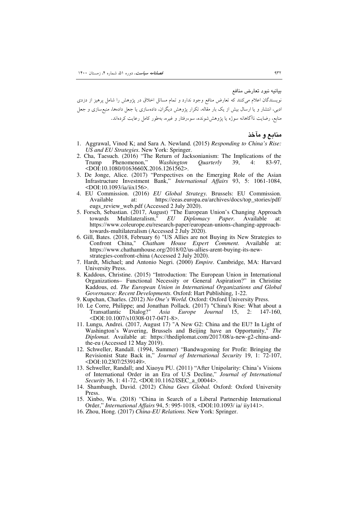بيانيه نبود تعارض منافع

نویسندگان اعلام میکنند که تعارض منافع وجود ندارد و تمام مسائل اخلاق در پژوهش را شامل پرهیز از دزدی ادبی، انتشار و یا ارسال بیش از یک بار مقاله، تکرار پژوهش دیگران، دادهسازی یا جعل دادهها، منبعسازی و جعل منابع، رضایت ناآگاهانه سوژه یا پژوهششونده، سوءرفتار و غیره، بهطور کامل رعایت کردهاند.

م**ن**ابع و مآخذ

- 1. Aggrawal, Vinod K; and Sara A. Newland. (2015) *Responding to China's Rise: US and EU Strategies.* New York: Springer.
- 2. Cha, Taesuch. (2016) "The Return of Jacksonianism: The Implications of the Trump Phenomenon," *Washington Quarterly* 39, 4: 83-97, Phenomenon," <DOI:10.1080/0163660X.2016.1261562>.
- 3. De Jonge, Alice. (2017) "Perspectives on the Emerging Role of the Asian Infrastructure Investment Bank," *International Affairs* 93, 5: 1061-1084, <DOI:10.1093/ia/iix156>.
- 4. EU Commission. (2016) *EU Global Strategy.* Brussels: EU Commission. at: https://eeas.europa.eu/archives/docs/top\_stories/pdf/ eugs\_review\_web.pdf (Accessed 2 July 2020).
- 5. Forsch, Sebastian. (2017, August) "The European Union's Changing Approach towards Multilateralism,"  $EU$  Diplomacy Paper. Available at: towards Multilateralism," *EU Diplomacy Paper*. Available at: https://www.coleurope.eu/research-paper/european-unions-changing-approachtowards-multilateralism (Accessed 2 July 2020).
- 6. Gill, Bates. (2018, February 6) "US Allies are not Buying its New Strategies to Confront China," *Chatham House Expert Comment*. Available at: https://www.chathamhouse.org/2018/02/us-allies-arent-buying-its-newstrategies-confront-china (Accessed 2 July 2020).
- 7. Hardt, Michael; and Antonio Negri. (2000) *Empire.* Cambridge, MA: Harvard University Press.
- 8. Kaddous, Christine. (2015) "Introduction: The European Union in International Organizations– Functional Necessity or General Aspiration?" in Christine Kaddous, ed. *The European Union in International Organizations and Global Governance: Recent Developments.* Oxford: Hart Publishing, 1-22.
- 9. Kupchan, Charles. (2012) *No One's World.* Oxford: Oxford University Press.
- 10. Le Corre, Philippe; and Jonathan Pollack. (2017) "China's Rise: What about a Transatlantic Dialog?" *Asia Europe Journal* 15, 2: 147-160, <DOI:10.1007/s10308-017-0471-8>.
- 11. Lungu, Andrei. (2017, August 17) "A New G2: China and the EU? In Light of Washington's Wavering, Brussels and Beijing have an Opportunity," *The Diplomat*. Available at: https://thediplomat.com/2017/08/a-new-g2-china-andthe-eu (Accessed 12 May 2019).
- 12. Schweller, Randall. (1994, Summer) "Bandwagoning for Profit: Bringing the Revisionist State Back in," *Journal of International Security* 19, 1: 72-107, <DOI:10.2307/2539149>.
- 13. Schweller, Randall; and Xiaoyu PU. (2011) "After Unipolarity: China's Visions of International Order in an Era of U.S Decline," *Journal of International Security* 36, 1: 41-72, <DOI:10.1162/ISEC\_a\_00044>.
- 14. Shambaugh, David. (2012) *China Goes Global.* Oxford: Oxford University Press.
- 15. Xinbo, Wu. (2018) "China in Search of a Liberal Partnership International Order," *International Affairs* 94, 5: 995-1018, <DOI:10.1093/ ia/ iiy141>.
- 16. Zhou, Hong. (2017) *China-EU Relations.* New York: Springer.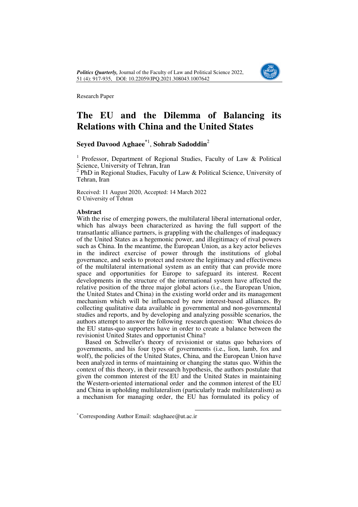

Research Paper

## **The EU and the Dilemma of Balancing its Relations with China and the United States**

## **Seyed Davood Aghaee\***<sup>1</sup> , **Sohrab Sadoddin**<sup>2</sup>

<sup>1</sup> Professor, Department of Regional Studies, Faculty of Law & Political Science, University of Tehran, Iran<br><sup>2</sup> PhD in Begional Studies, Feculty

 PhD in Regional Studies, Faculty of Law & Political Science, University of Tehran, Iran

Received: 11 August 2020, Accepted: 14 March 2022 © University of Tehran

### **Abstract**

With the rise of emerging powers, the multilateral liberal international order, which has always been characterized as having the full support of the transatlantic alliance partners, is grappling with the challenges of inadequacy of the United States as a hegemonic power, and illegitimacy of rival powers such as China. In the meantime, the European Union, as a key actor believes in the indirect exercise of power through the institutions of global governance, and seeks to protect and restore the legitimacy and effectiveness of the multilateral international system as an entity that can provide more space and opportunities for Europe to safeguard its interest. Recent developments in the structure of the international system have affected the relative position of the three major global actors (i.e., the European Union, the United States and China) in the existing world order and its management mechanism which will be influenced by new interest-based alliances. By collecting qualitative data available in governmental and non-governmental studies and reports, and by developing and analyzing possible scenarios, the authors attempt to answer the following research question: What choices do the EU status-quo supporters have in order to create a balance between the revisionist United States and opportunist China?

Based on Schweller's theory of revisionist or status quo behaviors of governments, and his four types of governments (i.e., lion, lamb, fox and wolf), the policies of the United States, China, and the European Union have been analyzed in terms of maintaining or changing the status quo. Within the context of this theory, in their research hypothesis, the authors postulate that given the common interest of the EU and the United States in maintaining the Western-oriented international order and the common interest of the EU and China in upholding multilateralism (particularly trade multilateralism) as a mechanism for managing order, the EU has formulated its policy of

 $\overline{a}$ 

<sup>\*</sup> Corresponding Author Email: sdaghaee@ut.ac.ir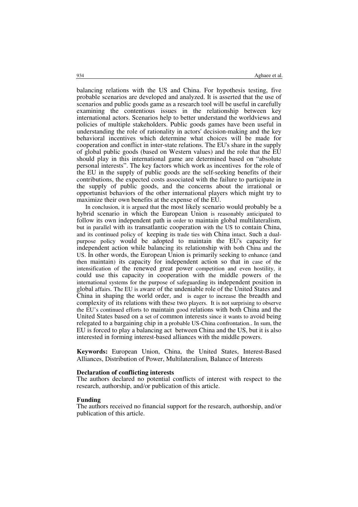balancing relations with the US and China. For hypothesis testing, five probable scenarios are developed and analyzed. It is asserted that the use of scenarios and public goods game as a research tool will be useful in carefully examining the contentious issues in the relationship between key international actors. Scenarios help to better understand the worldviews and policies of multiple stakeholders. Public goods games have been useful in understanding the role of rationality in actors' decision-making and the key behavioral incentives which determine what choices will be made for cooperation and conflict in inter-state relations. The EU's share in the supply of global public goods (based on Western values) and the role that the EU should play in this international game are determined based on "absolute personal interests". The key factors which work as incentives for the role of the EU in the supply of public goods are the self-seeking benefits of their contributions, the expected costs associated with the failure to participate in the supply of public goods, and the concerns about the irrational or opportunist behaviors of the other international players which might try to maximize their own benefits at the expense of the EU.

In conclusion, it is argued that the most likely scenario would probably be a hybrid scenario in which the European Union is reasonably anticipated to follow its own independent path in order to maintain global multilateralism, but in parallel with its transatlantic cooperation with the US to contain China, and its continued policy of keeping its trade ties with China intact. Such a dualpurpose policy would be adopted to maintain the EU's capacity for independent action while balancing its relationship with both China and the US. In other words, the European Union is primarily seeking to enhance (and then maintain) its capacity for independent action so that in case of the intensification of the renewed great power competition and even hostility, it could use this capacity in cooperation with the middle powers of the international systems for the purpose of safeguarding its independent position in global affairs. The EU is aware of the undeniable role of the United States and China in shaping the world order, and is eager to increase the breadth and complexity of its relations with these two players. It is not surprising to observe the EU's continued efforts to maintain good relations with both China and the United States based on a set of common interests since it wants to avoid being relegated to a bargaining chip in a probable US-China confrontation.. In sum, the EU is forced to play a balancing act between China and the US, but it is also interested in forming interest-based alliances with the middle powers.

**Keywords:** European Union, China, the United States, Interest-Based Alliances, Distribution of Power, Multilateralism, Balance of Interests

### **Declaration of conflicting interests**

The authors declared no potential conflicts of interest with respect to the research, authorship, and/or publication of this article.

#### **Funding**

The authors received no financial support for the research, authorship, and/or publication of this article.